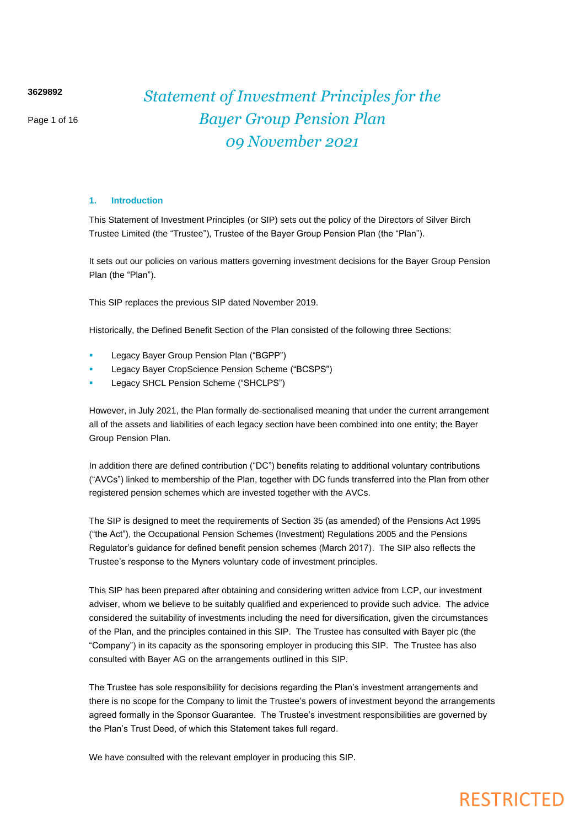**3629892**

Page 1 of 16

## *Statement of Investment Principles for the Bayer Group Pension Plan 09 November 2021*

## **1. Introduction**

This Statement of Investment Principles (or SIP) sets out the policy of the Directors of Silver Birch Trustee Limited (the "Trustee"), Trustee of the Bayer Group Pension Plan (the "Plan").

It sets out our policies on various matters governing investment decisions for the Bayer Group Pension Plan (the "Plan").

This SIP replaces the previous SIP dated November 2019.

Historically, the Defined Benefit Section of the Plan consisted of the following three Sections:

- Legacy Bayer Group Pension Plan ("BGPP")
- Legacy Bayer CropScience Pension Scheme ("BCSPS")
- Legacy SHCL Pension Scheme ("SHCLPS")

However, in July 2021, the Plan formally de-sectionalised meaning that under the current arrangement all of the assets and liabilities of each legacy section have been combined into one entity; the Bayer Group Pension Plan.

In addition there are defined contribution ("DC") benefits relating to additional voluntary contributions ("AVCs") linked to membership of the Plan, together with DC funds transferred into the Plan from other registered pension schemes which are invested together with the AVCs.

The SIP is designed to meet the requirements of Section 35 (as amended) of the Pensions Act 1995 ("the Act"), the Occupational Pension Schemes (Investment) Regulations 2005 and the Pensions Regulator's guidance for defined benefit pension schemes (March 2017). The SIP also reflects the Trustee's response to the Myners voluntary code of investment principles.

This SIP has been prepared after obtaining and considering written advice from LCP, our investment adviser, whom we believe to be suitably qualified and experienced to provide such advice. The advice considered the suitability of investments including the need for diversification, given the circumstances of the Plan, and the principles contained in this SIP. The Trustee has consulted with Bayer plc (the "Company") in its capacity as the sponsoring employer in producing this SIP. The Trustee has also consulted with Bayer AG on the arrangements outlined in this SIP.

The Trustee has sole responsibility for decisions regarding the Plan's investment arrangements and there is no scope for the Company to limit the Trustee's powers of investment beyond the arrangements agreed formally in the Sponsor Guarantee. The Trustee's investment responsibilities are governed by the Plan's Trust Deed, of which this Statement takes full regard.

We have consulted with the relevant employer in producing this SIP.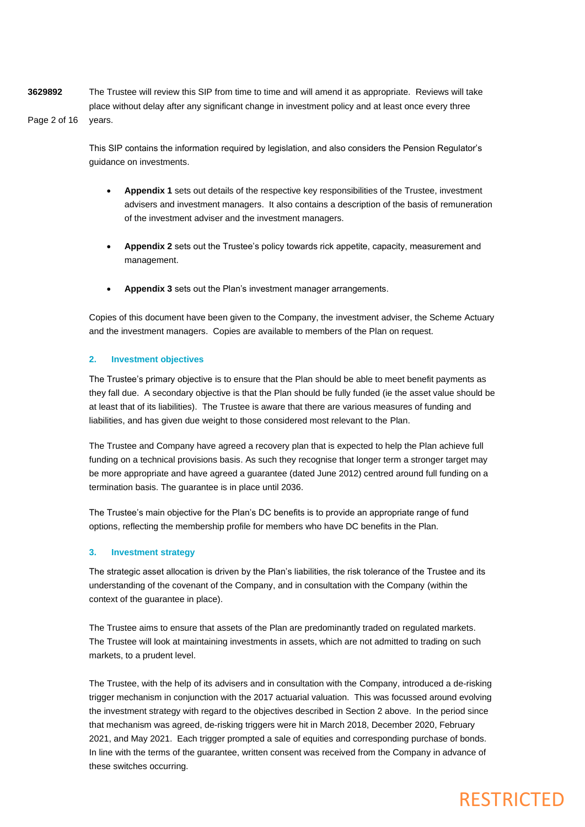**3629892** Page 2 of 16 The Trustee will review this SIP from time to time and will amend it as appropriate. Reviews will take place without delay after any significant change in investment policy and at least once every three years.

> This SIP contains the information required by legislation, and also considers the Pension Regulator's guidance on investments.

- **Appendix 1** sets out details of the respective key responsibilities of the Trustee, investment advisers and investment managers. It also contains a description of the basis of remuneration of the investment adviser and the investment managers.
- **Appendix 2** sets out the Trustee's policy towards rick appetite, capacity, measurement and management.
- **Appendix 3** sets out the Plan's investment manager arrangements.

Copies of this document have been given to the Company, the investment adviser, the Scheme Actuary and the investment managers. Copies are available to members of the Plan on request.

## **2. Investment objectives**

The Trustee's primary objective is to ensure that the Plan should be able to meet benefit payments as they fall due. A secondary objective is that the Plan should be fully funded (ie the asset value should be at least that of its liabilities). The Trustee is aware that there are various measures of funding and liabilities, and has given due weight to those considered most relevant to the Plan.

The Trustee and Company have agreed a recovery plan that is expected to help the Plan achieve full funding on a technical provisions basis. As such they recognise that longer term a stronger target may be more appropriate and have agreed a guarantee (dated June 2012) centred around full funding on a termination basis. The guarantee is in place until 2036.

The Trustee's main objective for the Plan's DC benefits is to provide an appropriate range of fund options, reflecting the membership profile for members who have DC benefits in the Plan.

## **3. Investment strategy**

The strategic asset allocation is driven by the Plan's liabilities, the risk tolerance of the Trustee and its understanding of the covenant of the Company, and in consultation with the Company (within the context of the guarantee in place).

The Trustee aims to ensure that assets of the Plan are predominantly traded on regulated markets. The Trustee will look at maintaining investments in assets, which are not admitted to trading on such markets, to a prudent level.

The Trustee, with the help of its advisers and in consultation with the Company, introduced a de-risking trigger mechanism in conjunction with the 2017 actuarial valuation. This was focussed around evolving the investment strategy with regard to the objectives described in Section 2 above. In the period since that mechanism was agreed, de-risking triggers were hit in March 2018, December 2020, February 2021, and May 2021. Each trigger prompted a sale of equities and corresponding purchase of bonds. In line with the terms of the guarantee, written consent was received from the Company in advance of these switches occurring.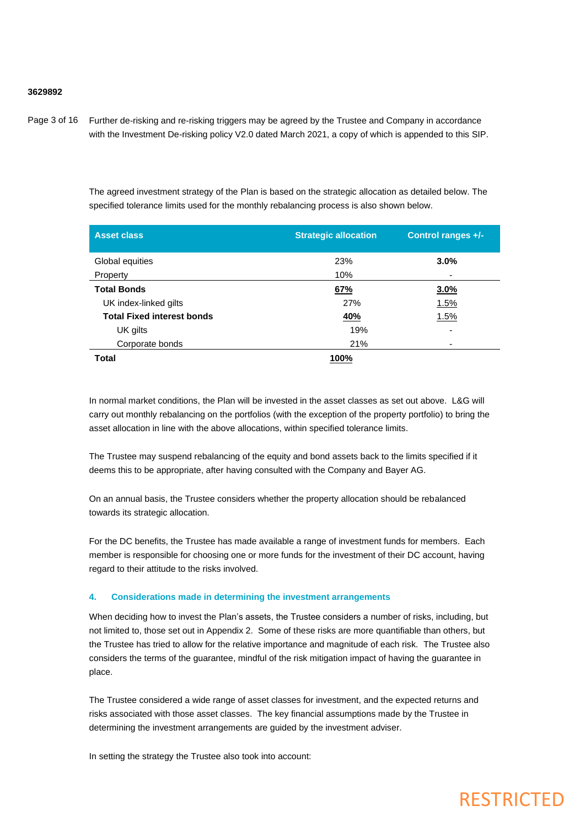## **3629892**

Page 3 of 16 Further de-risking and re-risking triggers may be agreed by the Trustee and Company in accordance with the Investment De-risking policy V2.0 dated March 2021, a copy of which is appended to this SIP.

> The agreed investment strategy of the Plan is based on the strategic allocation as detailed below. The specified tolerance limits used for the monthly rebalancing process is also shown below.

| <b>Asset class</b>                | <b>Strategic allocation</b> | Control ranges +/-       |
|-----------------------------------|-----------------------------|--------------------------|
| Global equities                   | 23%                         | 3.0%                     |
| Property                          | 10%                         | ٠                        |
| <b>Total Bonds</b>                | 67%                         | 3.0%                     |
| UK index-linked gilts             | 27%                         | 1.5%                     |
| <b>Total Fixed interest bonds</b> | 40%                         | 1.5%                     |
| UK gilts                          | 19%                         | $\overline{\phantom{0}}$ |
| Corporate bonds                   | 21%                         | -                        |
| <b>Total</b>                      | 100%                        |                          |

In normal market conditions, the Plan will be invested in the asset classes as set out above. L&G will carry out monthly rebalancing on the portfolios (with the exception of the property portfolio) to bring the asset allocation in line with the above allocations, within specified tolerance limits.

The Trustee may suspend rebalancing of the equity and bond assets back to the limits specified if it deems this to be appropriate, after having consulted with the Company and Bayer AG.

On an annual basis, the Trustee considers whether the property allocation should be rebalanced towards its strategic allocation.

For the DC benefits, the Trustee has made available a range of investment funds for members. Each member is responsible for choosing one or more funds for the investment of their DC account, having regard to their attitude to the risks involved.

### **4. Considerations made in determining the investment arrangements**

When deciding how to invest the Plan's assets, the Trustee considers a number of risks, including, but not limited to, those set out in Appendix 2. Some of these risks are more quantifiable than others, but the Trustee has tried to allow for the relative importance and magnitude of each risk. The Trustee also considers the terms of the guarantee, mindful of the risk mitigation impact of having the guarantee in place.

The Trustee considered a wide range of asset classes for investment, and the expected returns and risks associated with those asset classes. The key financial assumptions made by the Trustee in determining the investment arrangements are guided by the investment adviser.

In setting the strategy the Trustee also took into account: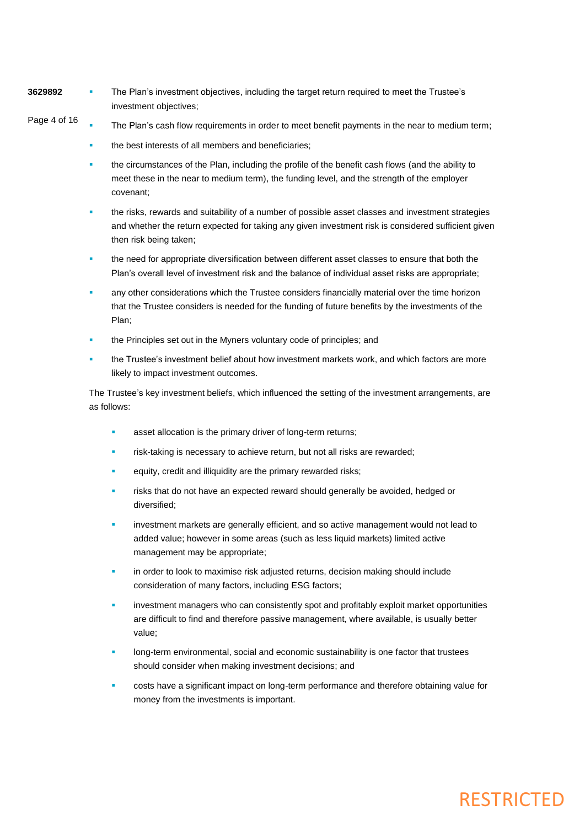- **3629892** The Plan's investment objectives, including the target return required to meet the Trustee's investment objectives;
- Page 4 of 16 The Plan's cash flow requirements in order to meet benefit payments in the near to medium term;
	- the best interests of all members and beneficiaries;
	- the circumstances of the Plan, including the profile of the benefit cash flows (and the ability to meet these in the near to medium term), the funding level, and the strength of the employer covenant;
	- the risks, rewards and suitability of a number of possible asset classes and investment strategies and whether the return expected for taking any given investment risk is considered sufficient given then risk being taken;
	- the need for appropriate diversification between different asset classes to ensure that both the Plan's overall level of investment risk and the balance of individual asset risks are appropriate;
	- any other considerations which the Trustee considers financially material over the time horizon that the Trustee considers is needed for the funding of future benefits by the investments of the Plan;
	- the Principles set out in the Myners voluntary code of principles; and
	- the Trustee's investment belief about how investment markets work, and which factors are more likely to impact investment outcomes.

The Trustee's key investment beliefs, which influenced the setting of the investment arrangements, are as follows:

- asset allocation is the primary driver of long-term returns;
- risk-taking is necessary to achieve return, but not all risks are rewarded;
- equity, credit and illiquidity are the primary rewarded risks;
- risks that do not have an expected reward should generally be avoided, hedged or diversified;
- investment markets are generally efficient, and so active management would not lead to added value; however in some areas (such as less liquid markets) limited active management may be appropriate;
- in order to look to maximise risk adjusted returns, decision making should include consideration of many factors, including ESG factors;
- investment managers who can consistently spot and profitably exploit market opportunities are difficult to find and therefore passive management, where available, is usually better value;
- long-term environmental, social and economic sustainability is one factor that trustees should consider when making investment decisions; and
- costs have a significant impact on long-term performance and therefore obtaining value for money from the investments is important.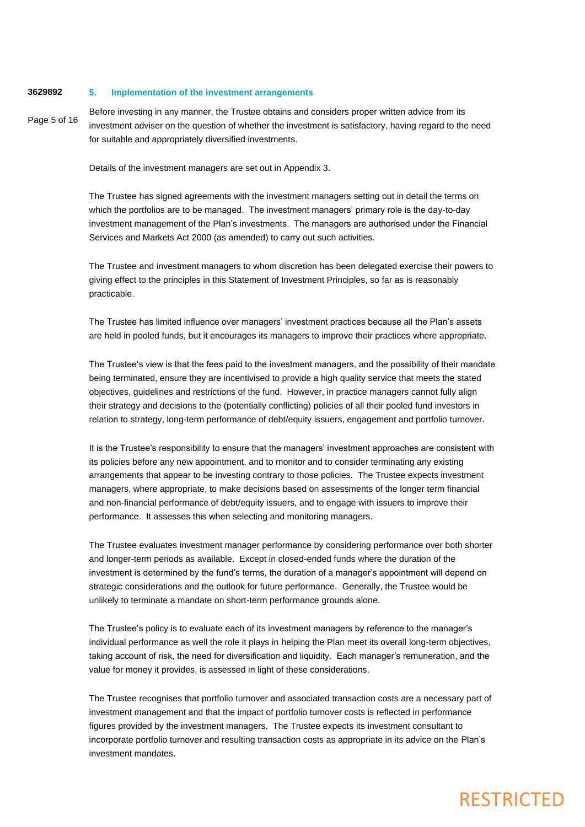#### **3629892 5. Implementation of the investment arrangements**

Page 5 of 16

Before investing in any manner, the Trustee obtains and considers proper written advice from its investment adviser on the question of whether the investment is satisfactory, having regard to the need for suitable and appropriately diversified investments.

Details of the investment managers are set out in Appendix 3.

The Trustee has signed agreements with the investment managers setting out in detail the terms on which the portfolios are to be managed. The investment managers' primary role is the day-to-day investment management of the Plan's investments. The managers are authorised under the Financial Services and Markets Act 2000 (as amended) to carry out such activities.

The Trustee and investment managers to whom discretion has been delegated exercise their powers to giving effect to the principles in this Statement of Investment Principles, so far as is reasonably practicable.

The Trustee has limited influence over managers' investment practices because all the Plan's assets are held in pooled funds, but it encourages its managers to improve their practices where appropriate.

The Trustee's view is that the fees paid to the investment managers, and the possibility of their mandate being terminated, ensure they are incentivised to provide a high quality service that meets the stated objectives, guidelines and restrictions of the fund. However, in practice managers cannot fully align their strategy and decisions to the (potentially conflicting) policies of all their pooled fund investors in relation to strategy, long-term performance of debt/equity issuers, engagement and portfolio turnover.

It is the Trustee's responsibility to ensure that the managers' investment approaches are consistent with its policies before any new appointment, and to monitor and to consider terminating any existing arrangements that appear to be investing contrary to those policies. The Trustee expects investment managers, where appropriate, to make decisions based on assessments of the longer term financial and non-financial performance of debt/equity issuers, and to engage with issuers to improve their performance. It assesses this when selecting and monitoring managers.

The Trustee evaluates investment manager performance by considering performance over both shorter and longer-term periods as available. Except in closed-ended funds where the duration of the investment is determined by the fund's terms, the duration of a manager's appointment will depend on strategic considerations and the outlook for future performance. Generally, the Trustee would be unlikely to terminate a mandate on short-term performance grounds alone.

The Trustee's policy is to evaluate each of its investment managers by reference to the manager's individual performance as well the role it plays in helping the Plan meet its overall long-term objectives, taking account of risk, the need for diversification and liquidity. Each manager's remuneration, and the value for money it provides, is assessed in light of these considerations.

The Trustee recognises that portfolio turnover and associated transaction costs are a necessary part of investment management and that the impact of portfolio turnover costs is reflected in performance figures provided by the investment managers. The Trustee expects its investment consultant to incorporate portfolio turnover and resulting transaction costs as appropriate in its advice on the Plan's investment mandates.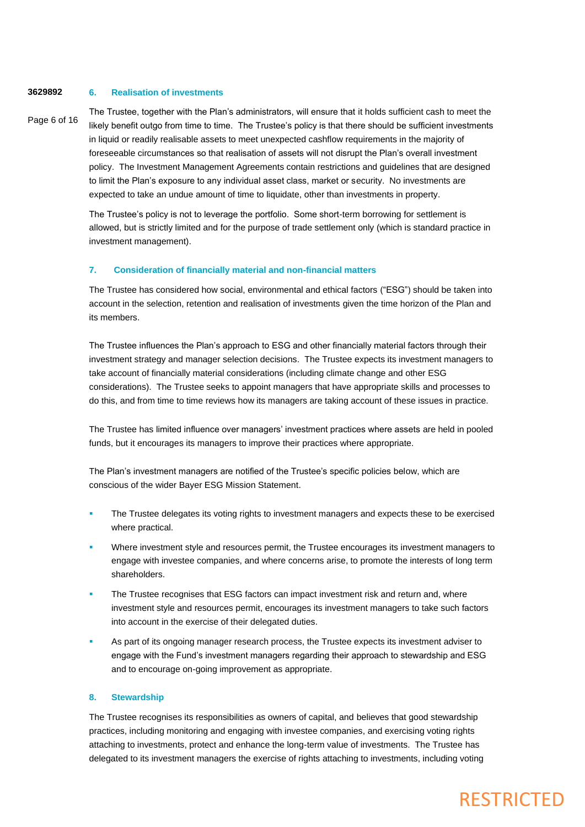#### **3629892 6. Realisation of investments**

## Page 6 of 16

The Trustee, together with the Plan's administrators, will ensure that it holds sufficient cash to meet the likely benefit outgo from time to time. The Trustee's policy is that there should be sufficient investments in liquid or readily realisable assets to meet unexpected cashflow requirements in the majority of foreseeable circumstances so that realisation of assets will not disrupt the Plan's overall investment policy. The Investment Management Agreements contain restrictions and guidelines that are designed to limit the Plan's exposure to any individual asset class, market or security. No investments are expected to take an undue amount of time to liquidate, other than investments in property.

The Trustee's policy is not to leverage the portfolio. Some short-term borrowing for settlement is allowed, but is strictly limited and for the purpose of trade settlement only (which is standard practice in investment management).

## **7. Consideration of financially material and non-financial matters**

The Trustee has considered how social, environmental and ethical factors ("ESG") should be taken into account in the selection, retention and realisation of investments given the time horizon of the Plan and its members.

The Trustee influences the Plan's approach to ESG and other financially material factors through their investment strategy and manager selection decisions. The Trustee expects its investment managers to take account of financially material considerations (including climate change and other ESG considerations). The Trustee seeks to appoint managers that have appropriate skills and processes to do this, and from time to time reviews how its managers are taking account of these issues in practice.

The Trustee has limited influence over managers' investment practices where assets are held in pooled funds, but it encourages its managers to improve their practices where appropriate.

The Plan's investment managers are notified of the Trustee's specific policies below, which are conscious of the wider Bayer ESG Mission Statement.

- The Trustee delegates its voting rights to investment managers and expects these to be exercised where practical.
- Where investment style and resources permit, the Trustee encourages its investment managers to engage with investee companies, and where concerns arise, to promote the interests of long term shareholders.
- The Trustee recognises that ESG factors can impact investment risk and return and, where investment style and resources permit, encourages its investment managers to take such factors into account in the exercise of their delegated duties.
- As part of its ongoing manager research process, the Trustee expects its investment adviser to engage with the Fund's investment managers regarding their approach to stewardship and ESG and to encourage on-going improvement as appropriate.

## **8. Stewardship**

The Trustee recognises its responsibilities as owners of capital, and believes that good stewardship practices, including monitoring and engaging with investee companies, and exercising voting rights attaching to investments, protect and enhance the long-term value of investments. The Trustee has delegated to its investment managers the exercise of rights attaching to investments, including voting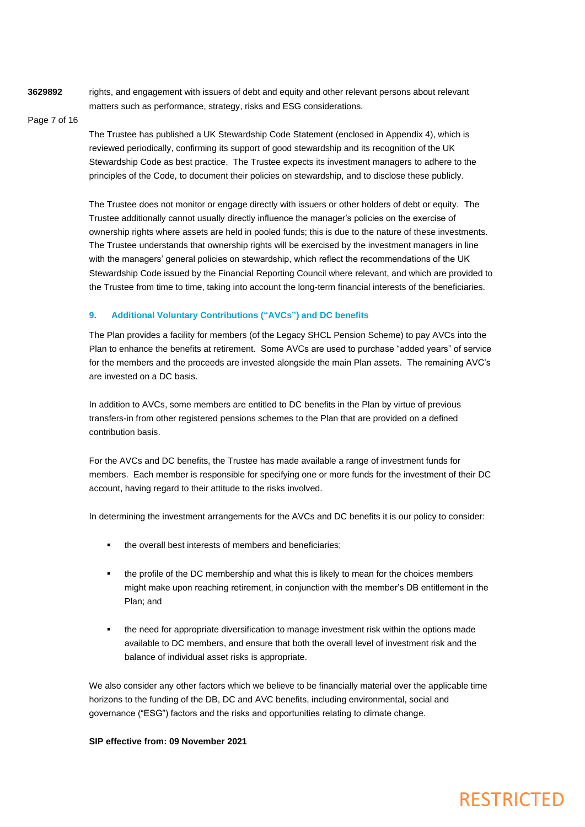**3629892**

rights, and engagement with issuers of debt and equity and other relevant persons about relevant matters such as performance, strategy, risks and ESG considerations.

### Page 7 of 16

The Trustee has published a UK Stewardship Code Statement (enclosed in Appendix 4), which is reviewed periodically, confirming its support of good stewardship and its recognition of the UK Stewardship Code as best practice. The Trustee expects its investment managers to adhere to the principles of the Code, to document their policies on stewardship, and to disclose these publicly.

The Trustee does not monitor or engage directly with issuers or other holders of debt or equity. The Trustee additionally cannot usually directly influence the manager's policies on the exercise of ownership rights where assets are held in pooled funds; this is due to the nature of these investments. The Trustee understands that ownership rights will be exercised by the investment managers in line with the managers' general policies on stewardship, which reflect the recommendations of the UK Stewardship Code issued by the Financial Reporting Council where relevant, and which are provided to the Trustee from time to time, taking into account the long-term financial interests of the beneficiaries.

## **9. Additional Voluntary Contributions ("AVCs") and DC benefits**

The Plan provides a facility for members (of the Legacy SHCL Pension Scheme) to pay AVCs into the Plan to enhance the benefits at retirement. Some AVCs are used to purchase "added years" of service for the members and the proceeds are invested alongside the main Plan assets. The remaining AVC's are invested on a DC basis.

In addition to AVCs, some members are entitled to DC benefits in the Plan by virtue of previous transfers-in from other registered pensions schemes to the Plan that are provided on a defined contribution basis.

For the AVCs and DC benefits, the Trustee has made available a range of investment funds for members. Each member is responsible for specifying one or more funds for the investment of their DC account, having regard to their attitude to the risks involved.

In determining the investment arrangements for the AVCs and DC benefits it is our policy to consider:

- the overall best interests of members and beneficiaries;
- the profile of the DC membership and what this is likely to mean for the choices members might make upon reaching retirement, in conjunction with the member's DB entitlement in the Plan; and
- the need for appropriate diversification to manage investment risk within the options made available to DC members, and ensure that both the overall level of investment risk and the balance of individual asset risks is appropriate.

We also consider any other factors which we believe to be financially material over the applicable time horizons to the funding of the DB, DC and AVC benefits, including environmental, social and governance ("ESG") factors and the risks and opportunities relating to climate change.

### **SIP effective from: 09 November 2021**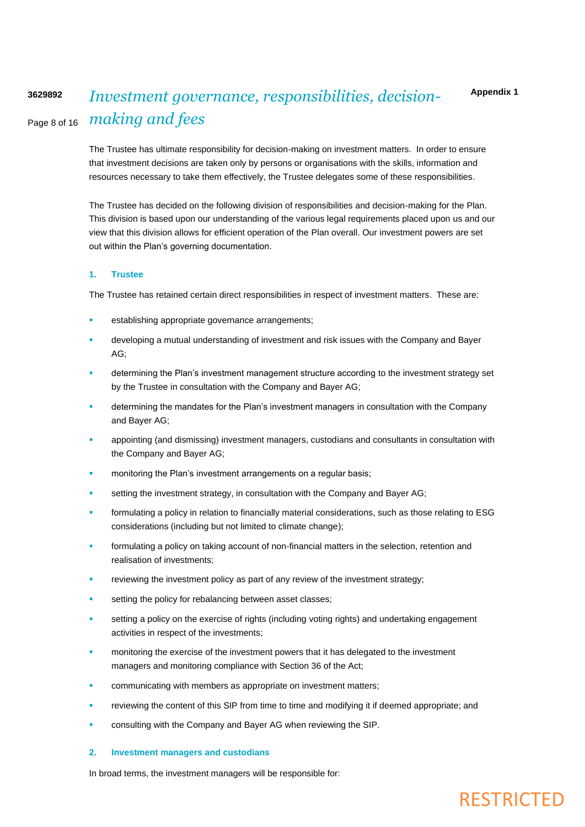#### Page 8 of 16 **3629892** *Investment governance, responsibilities, decisionmaking and fees*

The Trustee has ultimate responsibility for decision-making on investment matters. In order to ensure that investment decisions are taken only by persons or organisations with the skills, information and resources necessary to take them effectively, the Trustee delegates some of these responsibilities.

The Trustee has decided on the following division of responsibilities and decision-making for the Plan. This division is based upon our understanding of the various legal requirements placed upon us and our view that this division allows for efficient operation of the Plan overall. Our investment powers are set out within the Plan's governing documentation.

## **1. Trustee**

The Trustee has retained certain direct responsibilities in respect of investment matters. These are:

- establishing appropriate governance arrangements;
- developing a mutual understanding of investment and risk issues with the Company and Bayer AG;
- determining the Plan's investment management structure according to the investment strategy set by the Trustee in consultation with the Company and Bayer AG;
- determining the mandates for the Plan's investment managers in consultation with the Company and Bayer AG;
- appointing (and dismissing) investment managers, custodians and consultants in consultation with the Company and Bayer AG;
- monitoring the Plan's investment arrangements on a regular basis;
- setting the investment strategy, in consultation with the Company and Bayer AG;
- formulating a policy in relation to financially material considerations, such as those relating to ESG considerations (including but not limited to climate change);
- formulating a policy on taking account of non-financial matters in the selection, retention and realisation of investments;
- reviewing the investment policy as part of any review of the investment strategy;
- setting the policy for rebalancing between asset classes;
- setting a policy on the exercise of rights (including voting rights) and undertaking engagement activities in respect of the investments;
- monitoring the exercise of the investment powers that it has delegated to the investment managers and monitoring compliance with Section 36 of the Act;
- communicating with members as appropriate on investment matters;
- reviewing the content of this SIP from time to time and modifying it if deemed appropriate; and
- consulting with the Company and Bayer AG when reviewing the SIP.

### **2. Investment managers and custodians**

In broad terms, the investment managers will be responsible for: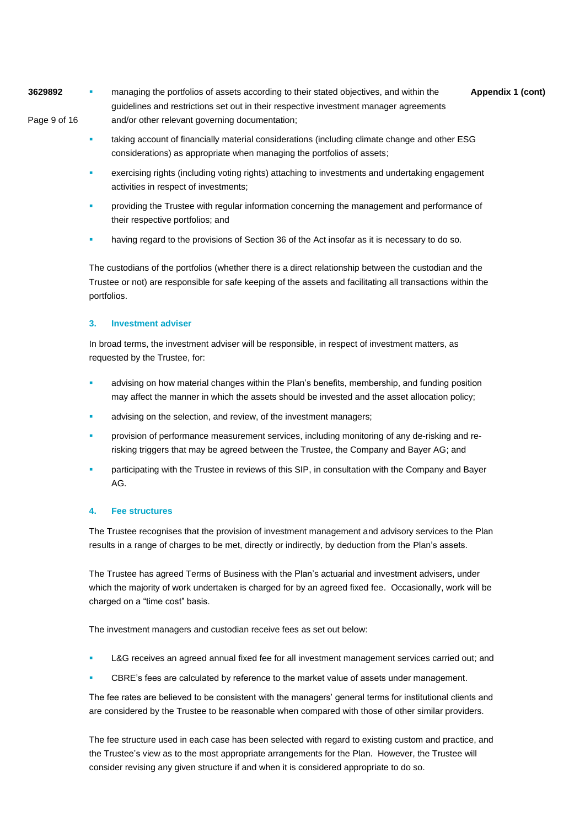**3629892 •** managing the portfolios of assets according to their stated objectives, and within the **Appendix 1 (cont)** Page 9 of 16 guidelines and restrictions set out in their respective investment manager agreements and/or other relevant governing documentation;

- taking account of financially material considerations (including climate change and other ESG considerations) as appropriate when managing the portfolios of assets;
- exercising rights (including voting rights) attaching to investments and undertaking engagement activities in respect of investments;
- providing the Trustee with regular information concerning the management and performance of their respective portfolios; and
- having regard to the provisions of Section 36 of the Act insofar as it is necessary to do so.

The custodians of the portfolios (whether there is a direct relationship between the custodian and the Trustee or not) are responsible for safe keeping of the assets and facilitating all transactions within the portfolios.

## **3. Investment adviser**

In broad terms, the investment adviser will be responsible, in respect of investment matters, as requested by the Trustee, for:

- advising on how material changes within the Plan's benefits, membership, and funding position may affect the manner in which the assets should be invested and the asset allocation policy;
- advising on the selection, and review, of the investment managers;
- provision of performance measurement services, including monitoring of any de-risking and rerisking triggers that may be agreed between the Trustee, the Company and Bayer AG; and
- participating with the Trustee in reviews of this SIP, in consultation with the Company and Bayer AG.

## **4. Fee structures**

The Trustee recognises that the provision of investment management and advisory services to the Plan results in a range of charges to be met, directly or indirectly, by deduction from the Plan's assets.

The Trustee has agreed Terms of Business with the Plan's actuarial and investment advisers, under which the majority of work undertaken is charged for by an agreed fixed fee. Occasionally, work will be charged on a "time cost" basis.

The investment managers and custodian receive fees as set out below:

- L&G receives an agreed annual fixed fee for all investment management services carried out; and
- CBRE's fees are calculated by reference to the market value of assets under management.

The fee rates are believed to be consistent with the managers' general terms for institutional clients and are considered by the Trustee to be reasonable when compared with those of other similar providers.

The fee structure used in each case has been selected with regard to existing custom and practice, and the Trustee's view as to the most appropriate arrangements for the Plan. However, the Trustee will consider revising any given structure if and when it is considered appropriate to do so.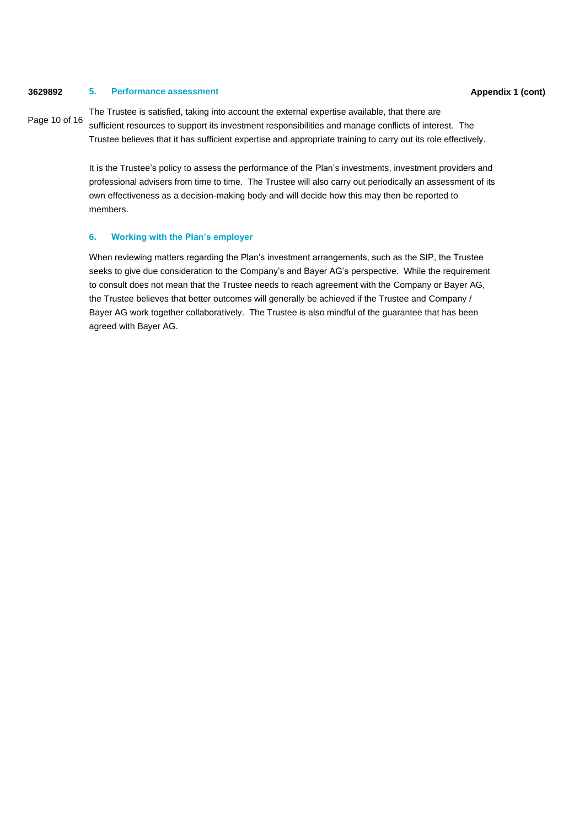## **3629892 Appendix 1 (cont) 5. Performance assessment**

Page 10 of 16

The Trustee is satisfied, taking into account the external expertise available, that there are sufficient resources to support its investment responsibilities and manage conflicts of interest. The Trustee believes that it has sufficient expertise and appropriate training to carry out its role effectively.

It is the Trustee's policy to assess the performance of the Plan's investments, investment providers and professional advisers from time to time. The Trustee will also carry out periodically an assessment of its own effectiveness as a decision-making body and will decide how this may then be reported to members.

## **6. Working with the Plan's employer**

When reviewing matters regarding the Plan's investment arrangements, such as the SIP, the Trustee seeks to give due consideration to the Company's and Bayer AG's perspective. While the requirement to consult does not mean that the Trustee needs to reach agreement with the Company or Bayer AG, the Trustee believes that better outcomes will generally be achieved if the Trustee and Company / Bayer AG work together collaboratively. The Trustee is also mindful of the guarantee that has been agreed with Bayer AG.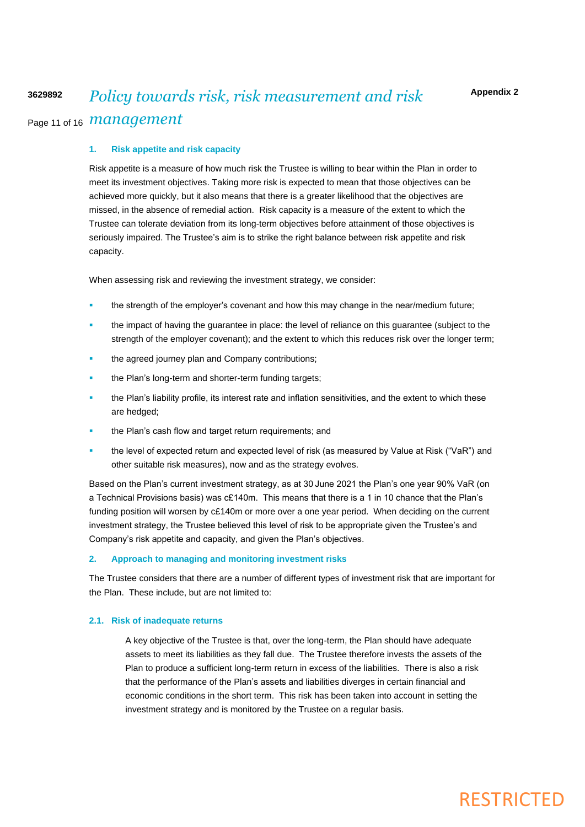## Page 11 of 16 *management* **3629892** *Policy towards risk, risk measurement and risk*

## **1. Risk appetite and risk capacity**

Risk appetite is a measure of how much risk the Trustee is willing to bear within the Plan in order to meet its investment objectives. Taking more risk is expected to mean that those objectives can be achieved more quickly, but it also means that there is a greater likelihood that the objectives are missed, in the absence of remedial action. Risk capacity is a measure of the extent to which the Trustee can tolerate deviation from its long-term objectives before attainment of those objectives is seriously impaired. The Trustee's aim is to strike the right balance between risk appetite and risk capacity.

When assessing risk and reviewing the investment strategy, we consider:

- the strength of the employer's covenant and how this may change in the near/medium future;
- the impact of having the guarantee in place: the level of reliance on this guarantee (subject to the strength of the employer covenant); and the extent to which this reduces risk over the longer term;
- the agreed journey plan and Company contributions;
- the Plan's long-term and shorter-term funding targets;
- the Plan's liability profile, its interest rate and inflation sensitivities, and the extent to which these are hedged;
- the Plan's cash flow and target return requirements; and
- the level of expected return and expected level of risk (as measured by Value at Risk ("VaR") and other suitable risk measures), now and as the strategy evolves.

Based on the Plan's current investment strategy, as at 30 June 2021 the Plan's one year 90% VaR (on a Technical Provisions basis) was c£140m. This means that there is a 1 in 10 chance that the Plan's funding position will worsen by c£140m or more over a one year period. When deciding on the current investment strategy, the Trustee believed this level of risk to be appropriate given the Trustee's and Company's risk appetite and capacity, and given the Plan's objectives.

#### **2. Approach to managing and monitoring investment risks**

The Trustee considers that there are a number of different types of investment risk that are important for the Plan. These include, but are not limited to:

## **2.1. Risk of inadequate returns**

A key objective of the Trustee is that, over the long-term, the Plan should have adequate assets to meet its liabilities as they fall due. The Trustee therefore invests the assets of the Plan to produce a sufficient long-term return in excess of the liabilities. There is also a risk that the performance of the Plan's assets and liabilities diverges in certain financial and economic conditions in the short term. This risk has been taken into account in setting the investment strategy and is monitored by the Trustee on a regular basis.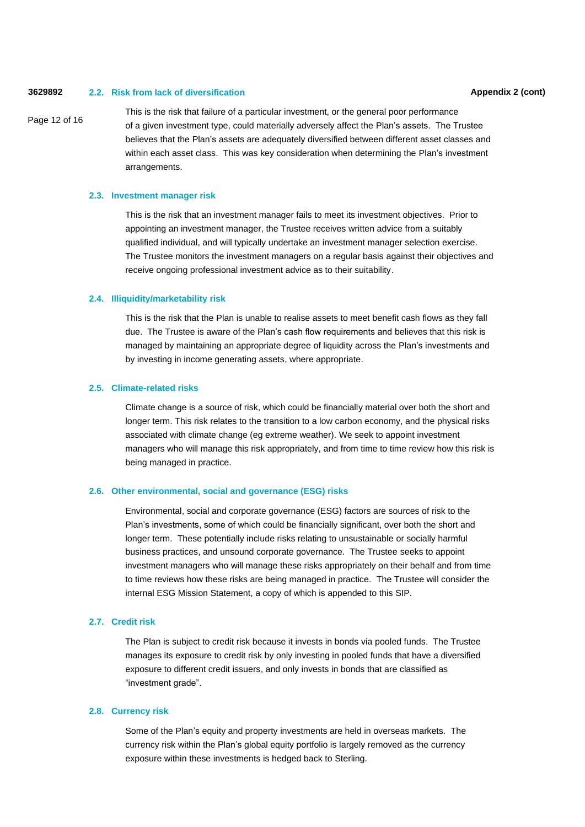#### **3629892 Appendix 2 (cont) 2.2. Risk from lack of diversification**

Page 12 of 16

This is the risk that failure of a particular investment, or the general poor performance of a given investment type, could materially adversely affect the Plan's assets. The Trustee believes that the Plan's assets are adequately diversified between different asset classes and within each asset class. This was key consideration when determining the Plan's investment arrangements.

### **2.3. Investment manager risk**

This is the risk that an investment manager fails to meet its investment objectives. Prior to appointing an investment manager, the Trustee receives written advice from a suitably qualified individual, and will typically undertake an investment manager selection exercise. The Trustee monitors the investment managers on a regular basis against their objectives and receive ongoing professional investment advice as to their suitability.

## **2.4. Illiquidity/marketability risk**

This is the risk that the Plan is unable to realise assets to meet benefit cash flows as they fall due. The Trustee is aware of the Plan's cash flow requirements and believes that this risk is managed by maintaining an appropriate degree of liquidity across the Plan's investments and by investing in income generating assets, where appropriate.

#### **2.5. Climate-related risks**

Climate change is a source of risk, which could be financially material over both the short and longer term. This risk relates to the transition to a low carbon economy, and the physical risks associated with climate change (eg extreme weather). We seek to appoint investment managers who will manage this risk appropriately, and from time to time review how this risk is being managed in practice.

## **2.6. Other environmental, social and governance (ESG) risks**

Environmental, social and corporate governance (ESG) factors are sources of risk to the Plan's investments, some of which could be financially significant, over both the short and longer term. These potentially include risks relating to unsustainable or socially harmful business practices, and unsound corporate governance. The Trustee seeks to appoint investment managers who will manage these risks appropriately on their behalf and from time to time reviews how these risks are being managed in practice. The Trustee will consider the internal ESG Mission Statement, a copy of which is appended to this SIP.

## **2.7. Credit risk**

The Plan is subject to credit risk because it invests in bonds via pooled funds. The Trustee manages its exposure to credit risk by only investing in pooled funds that have a diversified exposure to different credit issuers, and only invests in bonds that are classified as "investment grade".

#### **2.8. Currency risk**

Some of the Plan's equity and property investments are held in overseas markets. The currency risk within the Plan's global equity portfolio is largely removed as the currency exposure within these investments is hedged back to Sterling.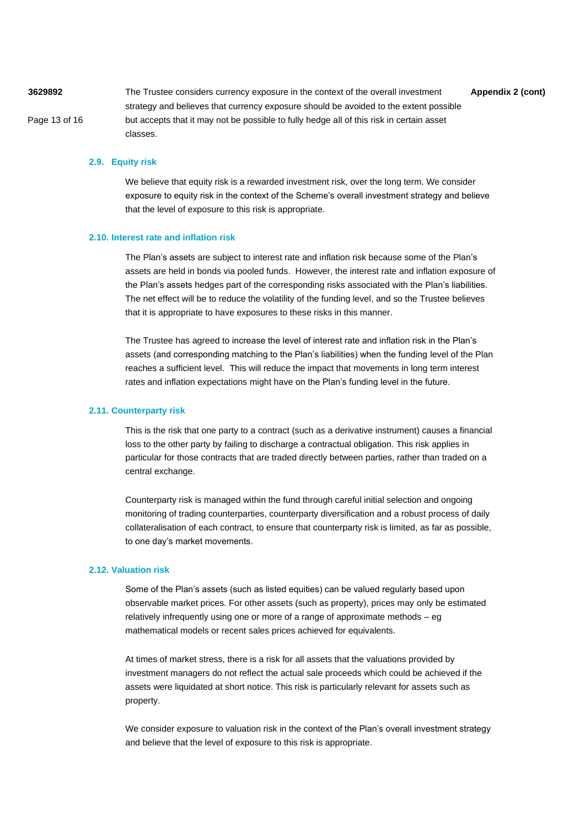**3629892** The Trustee considers currency exposure in the context of the overall investment **Appendix 2 (cont)** Page 13 of 16 strategy and believes that currency exposure should be avoided to the extent possible but accepts that it may not be possible to fully hedge all of this risk in certain asset classes.

### **2.9. Equity risk**

We believe that equity risk is a rewarded investment risk, over the long term. We consider exposure to equity risk in the context of the Scheme's overall investment strategy and believe that the level of exposure to this risk is appropriate.

#### **2.10. Interest rate and inflation risk**

The Plan's assets are subject to interest rate and inflation risk because some of the Plan's assets are held in bonds via pooled funds. However, the interest rate and inflation exposure of the Plan's assets hedges part of the corresponding risks associated with the Plan's liabilities. The net effect will be to reduce the volatility of the funding level, and so the Trustee believes that it is appropriate to have exposures to these risks in this manner.

The Trustee has agreed to increase the level of interest rate and inflation risk in the Plan's assets (and corresponding matching to the Plan's liabilities) when the funding level of the Plan reaches a sufficient level. This will reduce the impact that movements in long term interest rates and inflation expectations might have on the Plan's funding level in the future.

### **2.11. Counterparty risk**

This is the risk that one party to a contract (such as a derivative instrument) causes a financial loss to the other party by failing to discharge a contractual obligation. This risk applies in particular for those contracts that are traded directly between parties, rather than traded on a central exchange.

Counterparty risk is managed within the fund through careful initial selection and ongoing monitoring of trading counterparties, counterparty diversification and a robust process of daily collateralisation of each contract, to ensure that counterparty risk is limited, as far as possible, to one day's market movements.

#### **2.12. Valuation risk**

Some of the Plan's assets (such as listed equities) can be valued regularly based upon observable market prices. For other assets (such as property), prices may only be estimated relatively infrequently using one or more of a range of approximate methods – eg mathematical models or recent sales prices achieved for equivalents.

At times of market stress, there is a risk for all assets that the valuations provided by investment managers do not reflect the actual sale proceeds which could be achieved if the assets were liquidated at short notice. This risk is particularly relevant for assets such as property.

We consider exposure to valuation risk in the context of the Plan's overall investment strategy and believe that the level of exposure to this risk is appropriate.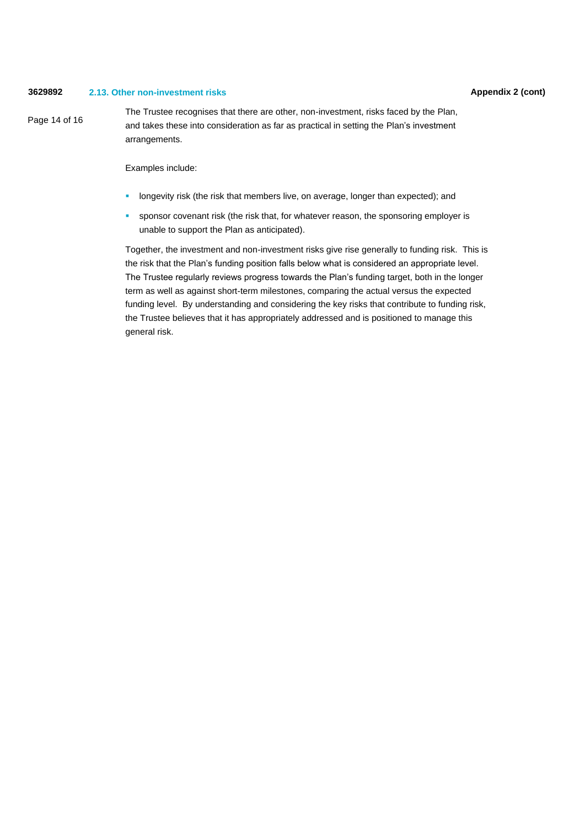### **3629892 Appendix 2 (cont) 2.13. Other non-investment risks**

Page 14 of 16

The Trustee recognises that there are other, non-investment, risks faced by the Plan, and takes these into consideration as far as practical in setting the Plan's investment arrangements.

Examples include:

- **·** longevity risk (the risk that members live, on average, longer than expected); and
- **•** sponsor covenant risk (the risk that, for whatever reason, the sponsoring employer is unable to support the Plan as anticipated).

Together, the investment and non-investment risks give rise generally to funding risk. This is the risk that the Plan's funding position falls below what is considered an appropriate level. The Trustee regularly reviews progress towards the Plan's funding target, both in the longer term as well as against short-term milestones, comparing the actual versus the expected funding level. By understanding and considering the key risks that contribute to funding risk, the Trustee believes that it has appropriately addressed and is positioned to manage this general risk.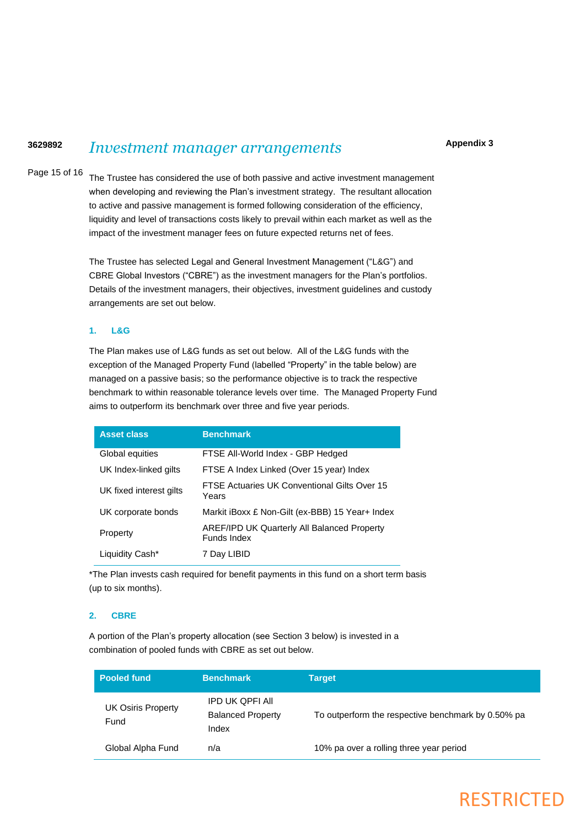#### **3629892** *Investment manager arrangements*

Page 15 of 16

The Trustee has considered the use of both passive and active investment management when developing and reviewing the Plan's investment strategy. The resultant allocation to active and passive management is formed following consideration of the efficiency, liquidity and level of transactions costs likely to prevail within each market as well as the impact of the investment manager fees on future expected returns net of fees.

The Trustee has selected Legal and General Investment Management ("L&G") and CBRE Global Investors ("CBRE") as the investment managers for the Plan's portfolios. Details of the investment managers, their objectives, investment guidelines and custody arrangements are set out below.

## **1. L&G**

The Plan makes use of L&G funds as set out below. All of the L&G funds with the exception of the Managed Property Fund (labelled "Property" in the table below) are managed on a passive basis; so the performance objective is to track the respective benchmark to within reasonable tolerance levels over time. The Managed Property Fund aims to outperform its benchmark over three and five year periods.

| <b>Asset class</b>      | <b>Benchmark</b>                                                  |
|-------------------------|-------------------------------------------------------------------|
| Global equities         | FTSE All-World Index - GBP Hedged                                 |
| UK Index-linked gilts   | FTSE A Index Linked (Over 15 year) Index                          |
| UK fixed interest gilts | FTSE Actuaries UK Conventional Gilts Over 15<br>Years             |
| UK corporate bonds      | Markit iBoxx £ Non-Gilt (ex-BBB) 15 Year+ Index                   |
| Property                | <b>AREF/IPD UK Quarterly All Balanced Property</b><br>Funds Index |
| Liquidity Cash*         | 7 Day LIBID                                                       |

\*The Plan invests cash required for benefit payments in this fund on a short term basis (up to six months).

## **2. CBRE**

A portion of the Plan's property allocation (see Section 3 below) is invested in a combination of pooled funds with CBRE as set out below.

| <b>Pooled fund</b>                | <b>Benchmark</b>                                            | <b>Target</b>                                      |
|-----------------------------------|-------------------------------------------------------------|----------------------------------------------------|
| <b>UK Osiris Property</b><br>Fund | <b>IPD UK QPFI AII</b><br><b>Balanced Property</b><br>Index | To outperform the respective benchmark by 0.50% pa |
| Global Alpha Fund                 | n/a                                                         | 10% pa over a rolling three year period            |